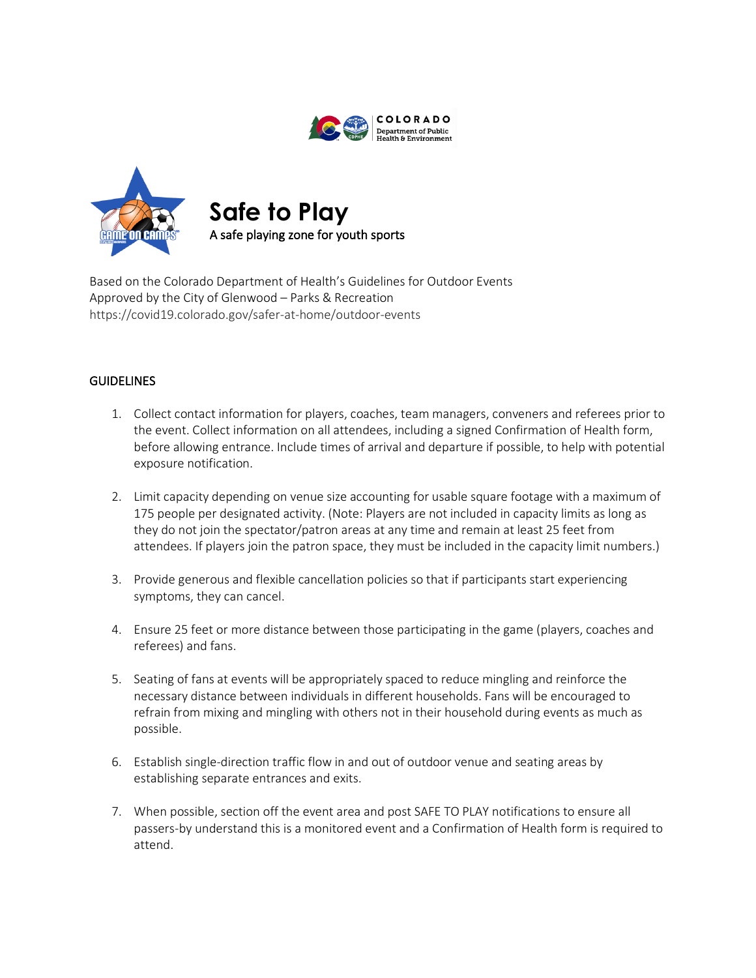



Based on the Colorado Department of Health's Guidelines for Outdoor Events Approved by the City of Glenwood – Parks & Recreation https://covid19.colorado.gov/safer-at-home/outdoor-events

## **GUIDELINES**

- 1. Collect contact information for players, coaches, team managers, conveners and referees prior to the event. Collect information on all attendees, including a signed Confirmation of Health form, before allowing entrance. Include times of arrival and departure if possible, to help with potential exposure notification.
- 2. Limit capacity depending on venue size accounting for usable square footage with a maximum of 175 people per designated activity. (Note: Players are not included in capacity limits as long as they do not join the spectator/patron areas at any time and remain at least 25 feet from attendees. If players join the patron space, they must be included in the capacity limit numbers.)
- 3. Provide generous and flexible cancellation policies so that if participants start experiencing symptoms, they can cancel.
- 4. Ensure 25 feet or more distance between those participating in the game (players, coaches and referees) and fans.
- 5. Seating of fans at events will be appropriately spaced to reduce mingling and reinforce the necessary distance between individuals in different households. Fans will be encouraged to refrain from mixing and mingling with others not in their household during events as much as possible.
- 6. Establish single-direction traffic flow in and out of outdoor venue and seating areas by establishing separate entrances and exits.
- 7. When possible, section off the event area and post SAFE TO PLAY notifications to ensure all passers-by understand this is a monitored event and a Confirmation of Health form is required to attend.